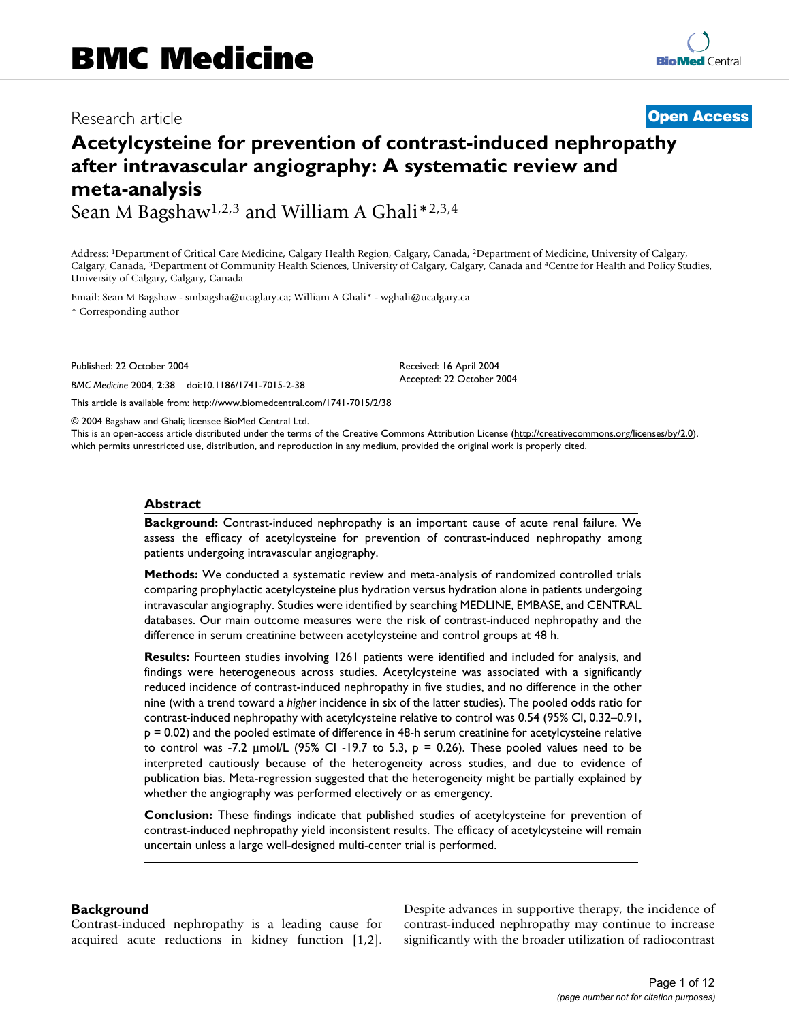# Research article **[Open Access](http://www.biomedcentral.com/info/about/charter/)**

# **Acetylcysteine for prevention of contrast-induced nephropathy after intravascular angiography: A systematic review and meta-analysis**

Sean M Bagshaw<sup>1,2,3</sup> and William A Ghali\*<sup>2,3,4</sup>

Address: 1Department of Critical Care Medicine, Calgary Health Region, Calgary, Canada, 2Department of Medicine, University of Calgary, Calgary, Canada, 3Department of Community Health Sciences, University of Calgary, Calgary, Canada and 4Centre for Health and Policy Studies, University of Calgary, Calgary, Canada

Email: Sean M Bagshaw - smbagsha@ucaglary.ca; William A Ghali\* - wghali@ucalgary.ca

\* Corresponding author

Published: 22 October 2004

*BMC Medicine* 2004, **2**:38 doi:10.1186/1741-7015-2-38

Received: 16 April 2004 Accepted: 22 October 2004

© 2004 Bagshaw and Ghali; licensee BioMed Central Ltd.

[This article is available from: http://www.biomedcentral.com/1741-7015/2/38](http://www.biomedcentral.com/1741-7015/2/38)

This is an open-access article distributed under the terms of the Creative Commons Attribution License (<http://creativecommons.org/licenses/by/2.0>), which permits unrestricted use, distribution, and reproduction in any medium, provided the original work is properly cited.

#### **Abstract**

**Background:** Contrast-induced nephropathy is an important cause of acute renal failure. We assess the efficacy of acetylcysteine for prevention of contrast-induced nephropathy among patients undergoing intravascular angiography.

**Methods:** We conducted a systematic review and meta-analysis of randomized controlled trials comparing prophylactic acetylcysteine plus hydration versus hydration alone in patients undergoing intravascular angiography. Studies were identified by searching MEDLINE, EMBASE, and CENTRAL databases. Our main outcome measures were the risk of contrast-induced nephropathy and the difference in serum creatinine between acetylcysteine and control groups at 48 h.

**Results:** Fourteen studies involving 1261 patients were identified and included for analysis, and findings were heterogeneous across studies. Acetylcysteine was associated with a significantly reduced incidence of contrast-induced nephropathy in five studies, and no difference in the other nine (with a trend toward a *higher* incidence in six of the latter studies). The pooled odds ratio for contrast-induced nephropathy with acetylcysteine relative to control was 0.54 (95% CI, 0.32–0.91, p = 0.02) and the pooled estimate of difference in 48-h serum creatinine for acetylcysteine relative to control was -7.2  $\mu$ mol/L (95% CI -19.7 to 5.3,  $p = 0.26$ ). These pooled values need to be interpreted cautiously because of the heterogeneity across studies, and due to evidence of publication bias. Meta-regression suggested that the heterogeneity might be partially explained by whether the angiography was performed electively or as emergency.

**Conclusion:** These findings indicate that published studies of acetylcysteine for prevention of contrast-induced nephropathy yield inconsistent results. The efficacy of acetylcysteine will remain uncertain unless a large well-designed multi-center trial is performed.

#### **Background**

Contrast-induced nephropathy is a leading cause for acquired acute reductions in kidney function [1,2].

Despite advances in supportive therapy, the incidence of contrast-induced nephropathy may continue to increase significantly with the broader utilization of radiocontrast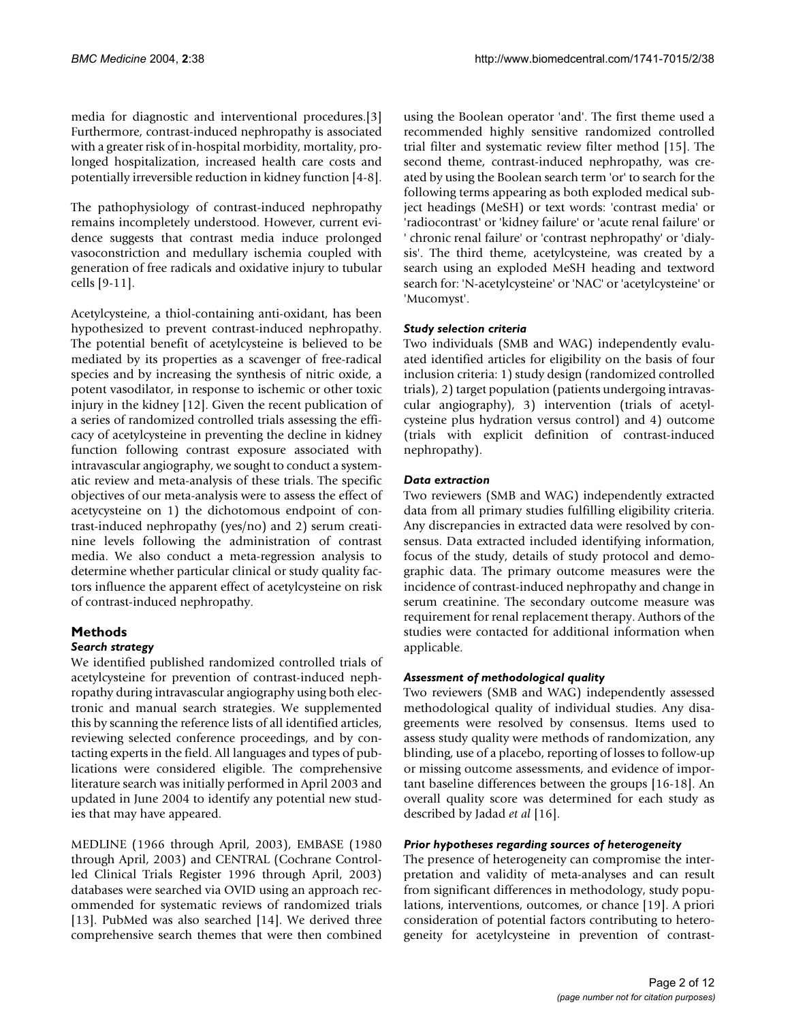media for diagnostic and interventional procedures.[3] Furthermore, contrast-induced nephropathy is associated with a greater risk of in-hospital morbidity, mortality, prolonged hospitalization, increased health care costs and potentially irreversible reduction in kidney function [4-8].

The pathophysiology of contrast-induced nephropathy remains incompletely understood. However, current evidence suggests that contrast media induce prolonged vasoconstriction and medullary ischemia coupled with generation of free radicals and oxidative injury to tubular cells [9-11].

Acetylcysteine, a thiol-containing anti-oxidant, has been hypothesized to prevent contrast-induced nephropathy. The potential benefit of acetylcysteine is believed to be mediated by its properties as a scavenger of free-radical species and by increasing the synthesis of nitric oxide, a potent vasodilator, in response to ischemic or other toxic injury in the kidney [12]. Given the recent publication of a series of randomized controlled trials assessing the efficacy of acetylcysteine in preventing the decline in kidney function following contrast exposure associated with intravascular angiography, we sought to conduct a systematic review and meta-analysis of these trials. The specific objectives of our meta-analysis were to assess the effect of acetycysteine on 1) the dichotomous endpoint of contrast-induced nephropathy (yes/no) and 2) serum creatinine levels following the administration of contrast media. We also conduct a meta-regression analysis to determine whether particular clinical or study quality factors influence the apparent effect of acetylcysteine on risk of contrast-induced nephropathy.

# **Methods**

## *Search strategy*

We identified published randomized controlled trials of acetylcysteine for prevention of contrast-induced nephropathy during intravascular angiography using both electronic and manual search strategies. We supplemented this by scanning the reference lists of all identified articles, reviewing selected conference proceedings, and by contacting experts in the field. All languages and types of publications were considered eligible. The comprehensive literature search was initially performed in April 2003 and updated in June 2004 to identify any potential new studies that may have appeared.

MEDLINE (1966 through April, 2003), EMBASE (1980 through April, 2003) and CENTRAL (Cochrane Controlled Clinical Trials Register 1996 through April, 2003) databases were searched via OVID using an approach recommended for systematic reviews of randomized trials [13]. PubMed was also searched [14]. We derived three comprehensive search themes that were then combined using the Boolean operator 'and'. The first theme used a recommended highly sensitive randomized controlled trial filter and systematic review filter method [15]. The second theme, contrast-induced nephropathy, was created by using the Boolean search term 'or' to search for the following terms appearing as both exploded medical subject headings (MeSH) or text words: 'contrast media' or 'radiocontrast' or 'kidney failure' or 'acute renal failure' or ' chronic renal failure' or 'contrast nephropathy' or 'dialysis'. The third theme, acetylcysteine, was created by a search using an exploded MeSH heading and textword search for: 'N-acetylcysteine' or 'NAC' or 'acetylcysteine' or 'Mucomyst'.

# *Study selection criteria*

Two individuals (SMB and WAG) independently evaluated identified articles for eligibility on the basis of four inclusion criteria: 1) study design (randomized controlled trials), 2) target population (patients undergoing intravascular angiography), 3) intervention (trials of acetylcysteine plus hydration versus control) and 4) outcome (trials with explicit definition of contrast-induced nephropathy).

# *Data extraction*

Two reviewers (SMB and WAG) independently extracted data from all primary studies fulfilling eligibility criteria. Any discrepancies in extracted data were resolved by consensus. Data extracted included identifying information, focus of the study, details of study protocol and demographic data. The primary outcome measures were the incidence of contrast-induced nephropathy and change in serum creatinine. The secondary outcome measure was requirement for renal replacement therapy. Authors of the studies were contacted for additional information when applicable.

## *Assessment of methodological quality*

Two reviewers (SMB and WAG) independently assessed methodological quality of individual studies. Any disagreements were resolved by consensus. Items used to assess study quality were methods of randomization, any blinding, use of a placebo, reporting of losses to follow-up or missing outcome assessments, and evidence of important baseline differences between the groups [16-18]. An overall quality score was determined for each study as described by Jadad *et al* [16].

## *Prior hypotheses regarding sources of heterogeneity*

The presence of heterogeneity can compromise the interpretation and validity of meta-analyses and can result from significant differences in methodology, study populations, interventions, outcomes, or chance [19]. A priori consideration of potential factors contributing to heterogeneity for acetylcysteine in prevention of contrast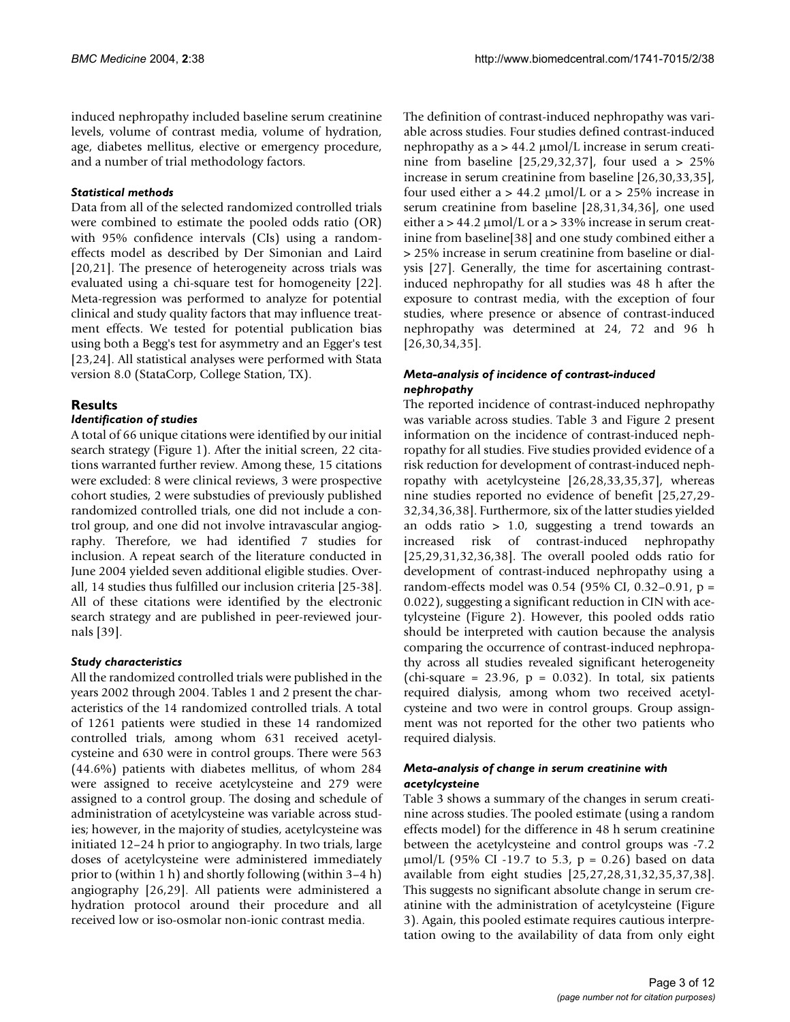induced nephropathy included baseline serum creatinine levels, volume of contrast media, volume of hydration, age, diabetes mellitus, elective or emergency procedure, and a number of trial methodology factors.

## *Statistical methods*

Data from all of the selected randomized controlled trials were combined to estimate the pooled odds ratio (OR) with 95% confidence intervals (CIs) using a randomeffects model as described by Der Simonian and Laird [20,21]. The presence of heterogeneity across trials was evaluated using a chi-square test for homogeneity [22]. Meta-regression was performed to analyze for potential clinical and study quality factors that may influence treatment effects. We tested for potential publication bias using both a Begg's test for asymmetry and an Egger's test [23,24]. All statistical analyses were performed with Stata version 8.0 (StataCorp, College Station, TX).

# **Results**

# *Identification of studies*

A total of 66 unique citations were identified by our initial search strategy (Figure [1](#page-3-0)). After the initial screen, 22 citations warranted further review. Among these, 15 citations were excluded: 8 were clinical reviews, 3 were prospective cohort studies, 2 were substudies of previously published randomized controlled trials, one did not include a control group, and one did not involve intravascular angiography. Therefore, we had identified 7 studies for inclusion. A repeat search of the literature conducted in June 2004 yielded seven additional eligible studies. Overall, 14 studies thus fulfilled our inclusion criteria [25-38]. All of these citations were identified by the electronic search strategy and are published in peer-reviewed journals [39].

# *Study characteristics*

All the randomized controlled trials were published in the years 2002 through 2004. Tables [1](#page-4-0) and [2](#page-5-0) present the characteristics of the 14 randomized controlled trials. A total of 1261 patients were studied in these 14 randomized controlled trials, among whom 631 received acetylcysteine and 630 were in control groups. There were 563 (44.6%) patients with diabetes mellitus, of whom 284 were assigned to receive acetylcysteine and 279 were assigned to a control group. The dosing and schedule of administration of acetylcysteine was variable across studies; however, in the majority of studies, acetylcysteine was initiated 12–24 h prior to angiography. In two trials, large doses of acetylcysteine were administered immediately prior to (within 1 h) and shortly following (within 3–4 h) angiography [26,29]. All patients were administered a hydration protocol around their procedure and all received low or iso-osmolar non-ionic contrast media.

The definition of contrast-induced nephropathy was variable across studies. Four studies defined contrast-induced nephropathy as a > 44.2 µmol/L increase in serum creatinine from baseline [25,29,32,37], four used a  $> 25\%$ increase in serum creatinine from baseline [26,30,33,35], four used either  $a > 44.2 \mu \text{mol/L}$  or  $a > 25\%$  increase in serum creatinine from baseline [28,31,34,36], one used either a  $> 44.2 \mu$ mol/L or a  $> 33\%$  increase in serum creatinine from baseline[38] and one study combined either a > 25% increase in serum creatinine from baseline or dialysis [27]. Generally, the time for ascertaining contrastinduced nephropathy for all studies was 48 h after the exposure to contrast media, with the exception of four studies, where presence or absence of contrast-induced nephropathy was determined at 24, 72 and 96 h [26,30,34,35].

#### *Meta-analysis of incidence of contrast-induced nephropathy*

The reported incidence of contrast-induced nephropathy was variable across studies. Table [3](#page-5-1) and Figure [2](#page-6-0) present information on the incidence of contrast-induced nephropathy for all studies. Five studies provided evidence of a risk reduction for development of contrast-induced nephropathy with acetylcysteine [26,28,33,35,37], whereas nine studies reported no evidence of benefit [25,27,29- 32,34,36,38]. Furthermore, six of the latter studies yielded an odds ratio > 1.0, suggesting a trend towards an increased risk of contrast-induced nephropathy [25,29,31,32,36,38]. The overall pooled odds ratio for development of contrast-induced nephropathy using a random-effects model was 0.54 (95% CI, 0.32–0.91, p = 0.022), suggesting a significant reduction in CIN with acetylcysteine (Figure [2\)](#page-6-0). However, this pooled odds ratio should be interpreted with caution because the analysis comparing the occurrence of contrast-induced nephropathy across all studies revealed significant heterogeneity (chi-square =  $23.96$ , p = 0.032). In total, six patients required dialysis, among whom two received acetylcysteine and two were in control groups. Group assignment was not reported for the other two patients who required dialysis.

# *Meta-analysis of change in serum creatinine with acetylcysteine*

Table [3](#page-5-1) shows a summary of the changes in serum creatinine across studies. The pooled estimate (using a random effects model) for the difference in 48 h serum creatinine between the acetylcysteine and control groups was -7.2  $\mu$ mol/L (95% CI -19.7 to 5.3, p = 0.26) based on data available from eight studies [25,27,28,31,32,35,37,38]. This suggests no significant absolute change in serum creatinine with the administration of acetylcysteine (Figure 3). Again, this pooled estimate requires cautious interpretation owing to the availability of data from only eight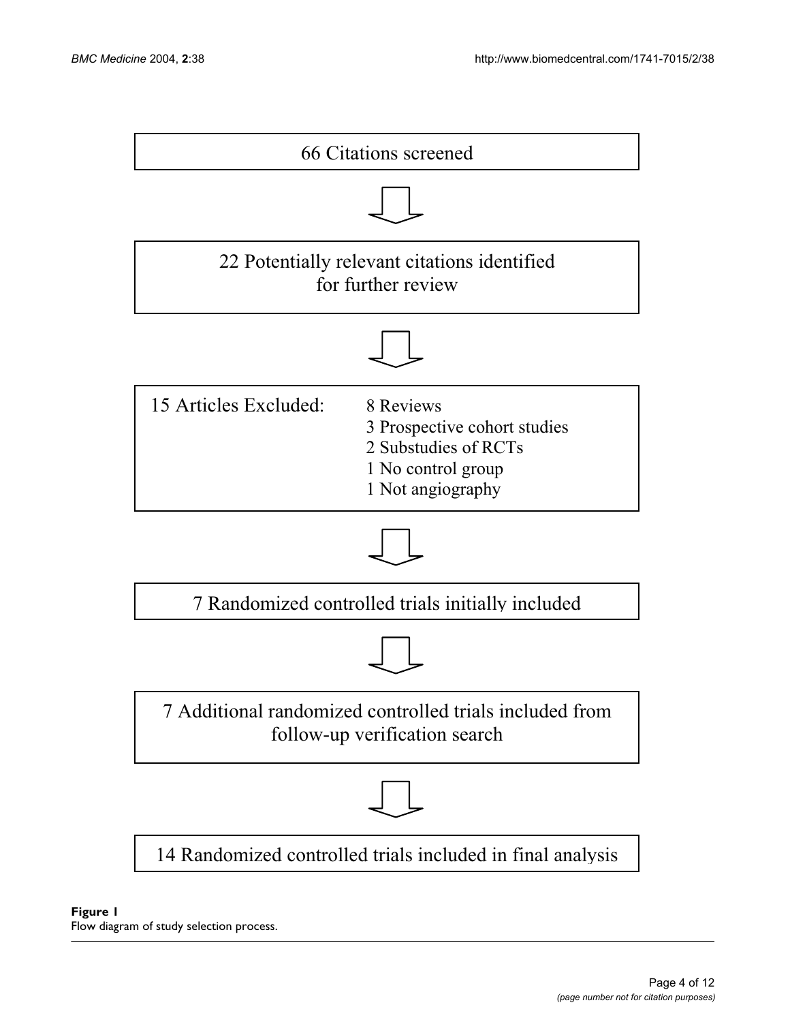<span id="page-3-0"></span>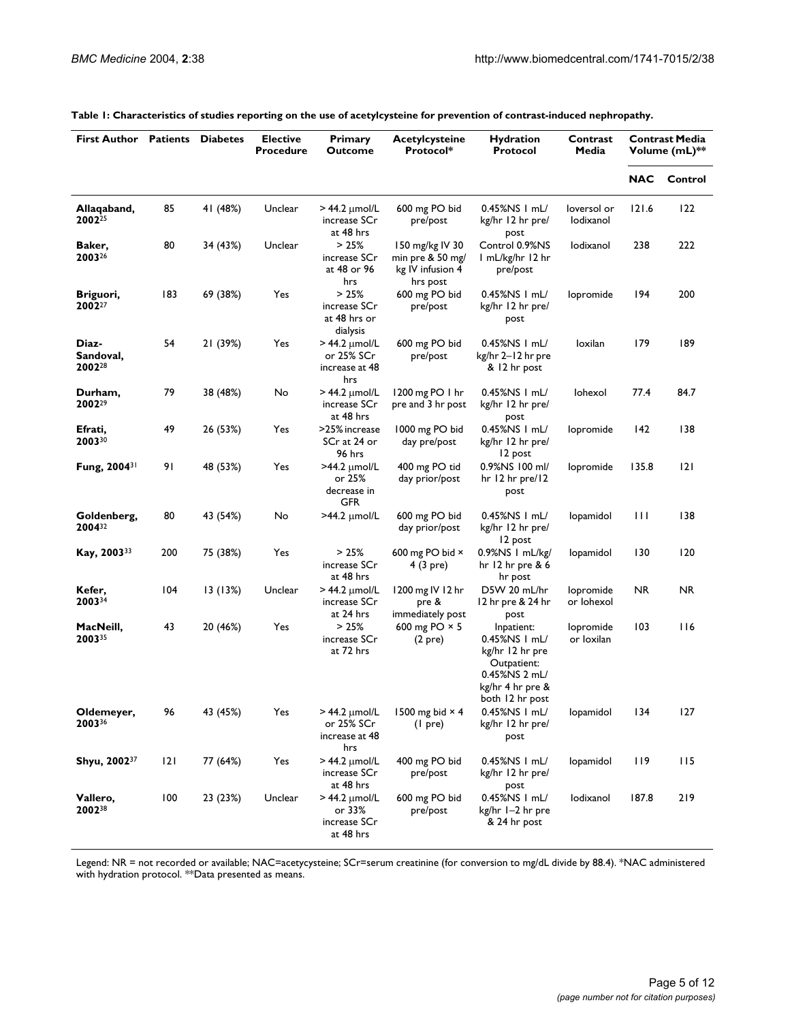| <b>First Author</b>                      | Patients | <b>Diabetes</b> | <b>Elective</b><br><b>Procedure</b> | Primary<br>Outcome                                          | Acetylcysteine<br>Protocol*                                         | <b>Hydration</b><br>Protocol                                                                                          | Contrast<br>Media        | <b>Contrast Media</b><br>Volume (mL)** |           |
|------------------------------------------|----------|-----------------|-------------------------------------|-------------------------------------------------------------|---------------------------------------------------------------------|-----------------------------------------------------------------------------------------------------------------------|--------------------------|----------------------------------------|-----------|
|                                          |          |                 |                                     |                                                             |                                                                     |                                                                                                                       |                          | <b>NAC</b>                             | Control   |
| Allaqaband,<br>2002 <sup>25</sup>        | 85       | 41 (48%)        | Unclear                             | $>$ 44.2 $\mu$ mol/L<br>increase SCr<br>at 48 hrs           | 600 mg PO bid<br>pre/post                                           | $0.45\%$ NS I mL/<br>kg/hr 12 hr pre/<br>post                                                                         | loversol or<br>lodixanol | 121.6                                  | 122       |
| Baker,<br>200326                         | 80       | 34 (43%)        | Unclear                             | >25%<br>increase SCr<br>at 48 or 96<br>hrs                  | 150 mg/kg IV 30<br>min pre & 50 mg/<br>kg IV infusion 4<br>hrs post | Control 0.9%NS<br>I mL/kg/hr 12 hr<br>pre/post                                                                        | lodixanol                | 238                                    | 222       |
| Briguori,<br>2002 <sup>27</sup>          | 183      | 69 (38%)        | Yes                                 | >25%<br>increase SCr<br>at 48 hrs or<br>dialysis            | 600 mg PO bid<br>pre/post                                           | 0.45%NS I mL/<br>kg/hr 12 hr pre/<br>post                                                                             | lopromide                | 194                                    | 200       |
| Diaz-<br>Sandoval,<br>2002 <sup>28</sup> | 54       | 21 (39%)        | Yes                                 | $>$ 44.2 $\mu$ mol/L<br>or 25% SCr<br>increase at 48<br>hrs | 600 mg PO bid<br>pre/post                                           | 0.45%NS I mL/<br>kg/hr 2-12 hr pre<br>& 12 hr post                                                                    | loxilan                  |                                        | 189       |
| Durham,<br>200229                        | 79       | 38 (48%)        | No                                  | $>$ 44.2 $\mu$ mol/L<br>increase SCr<br>at 48 hrs           | 1200 mg PO 1 hr<br>pre and 3 hr post                                | 0.45%NS I mL/<br>kg/hr 12 hr pre/<br>post                                                                             | lohexol                  | 77.4                                   | 84.7      |
| Efrati,<br>200330                        | 49       | 26 (53%)        | Yes                                 | >25% increase<br>SCr at 24 or<br>96 hrs                     | 1000 mg PO bid<br>day pre/post                                      | $0.45\%$ NS I mL/<br>kg/hr 12 hr pre/<br>12 post                                                                      | lopromide                | 142                                    | 138       |
| Fung, 2004 <sup>31</sup>                 | 91       | 48 (53%)        | Yes                                 | $>44.2 \mu$ mol/L<br>or 25%<br>decrease in<br>GFR           | 400 mg PO tid<br>day prior/post                                     | 0.9%NS 100 ml/<br>hr 12 hr pre/12<br>post                                                                             | lopromide                | 135.8                                  | 2         |
| Goldenberg,<br>200432                    | 80       | 43 (54%)        | No                                  | $>44.2$ µmol/L                                              | 600 mg PO bid<br>day prior/post                                     | 0.45%NS I mL/<br>kg/hr 12 hr pre/<br>12 post                                                                          | lopamidol                | $\mathbf{H}$                           | 138       |
| Kay, 200333                              | 200      | 75 (38%)        | Yes                                 | >25%<br>increase SCr<br>at 48 hrs                           | 600 mg PO bid $\times$<br>4 (3 pre)                                 | 0.9%NS   mL/kg/<br>hr 12 hr pre $86$<br>hr post                                                                       | lopamidol                | 130                                    | 120       |
| Kefer,<br>200334                         | 104      | 13 (13%)        | Unclear                             | $>$ 44.2 $\mu$ mol/L<br>increase SCr<br>at 24 hrs           | 1200 mg IV 12 hr<br>pre &<br>immediately post                       | D5W 20 mL/hr<br>12 hr pre & 24 hr<br>post                                                                             | lopromide<br>or lohexol  | NR.                                    | <b>NR</b> |
| MacNeill,<br>200335                      | 43       | 20 (46%)        | Yes                                 | >25%<br>increase SCr<br>at 72 hrs                           | 600 mg PO $\times$ 5<br>(2 <sub>pre</sub> )                         | Inpatient:<br>0.45%NS   mL/<br>kg/hr 12 hr pre<br>Outpatient:<br>0.45%NS 2 mL/<br>kg/hr 4 hr pre &<br>both 12 hr post | lopromide<br>or loxilan  | 103                                    | 116       |
| Oldemeyer,<br>200336                     | 96       | 43 (45%)        | Yes                                 | $>$ 44.2 $\mu$ mol/L<br>or 25% SCr<br>increase at 48<br>hrs | 1500 mg bid $\times$ 4<br>(I pre)                                   | 0.45%NS I mL/<br>kg/hr 12 hr pre/<br>post                                                                             | lopamidol                | 134                                    | 127       |
| Shyu, 200237                             | 2        | 77 (64%)        | Yes                                 | $>$ 44.2 $\mu$ mol/L<br>increase SCr<br>at 48 hrs           | 400 mg PO bid<br>pre/post                                           | 0.45%NS I mL/<br>kg/hr 12 hr pre/<br>post                                                                             | lopamidol                | 119                                    | 115       |
| Vallero,<br>200238                       | 100      | 23 (23%)        | Unclear                             | $>$ 44.2 $\mu$ mol/L<br>or 33%<br>increase SCr<br>at 48 hrs | 600 mg PO bid<br>pre/post                                           | 0.45%NS   mL/<br>kg/hr I-2 hr pre<br>& 24 hr post                                                                     | lodixanol                | 187.8                                  | 219       |

#### <span id="page-4-0"></span>**Table 1: Characteristics of studies reporting on the use of acetylcysteine for prevention of contrast-induced nephropathy.**

Legend: NR = not recorded or available; NAC=acetycysteine; SCr=serum creatinine (for conversion to mg/dL divide by 88.4). \*NAC administered with hydration protocol. \*\*Data presented as means.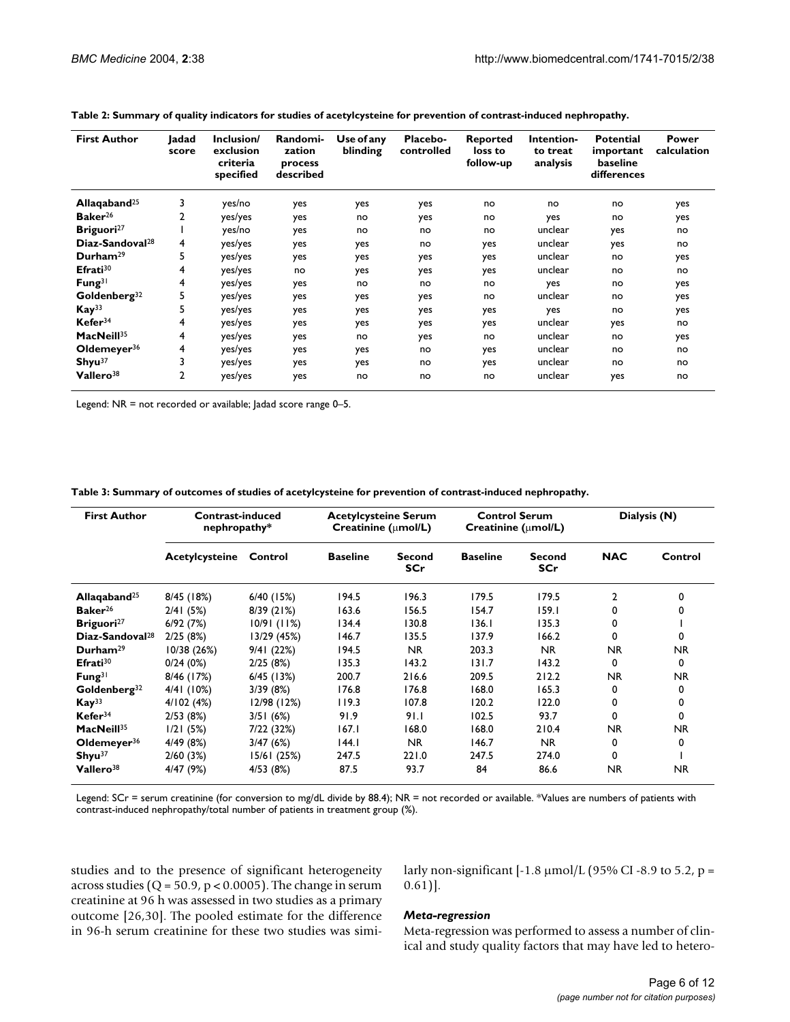| <b>First Author</b>         | Jadad<br>score | Inclusion/<br>exclusion<br>criteria<br>specified | Randomi-<br>zation<br>process<br>described | Use of any<br>blinding | Placebo-<br>controlled | <b>Reported</b><br>loss to<br>follow-up | Intention-<br>to treat<br>analysis | <b>Potential</b><br>important<br>baseline<br>differences | Power<br>calculation |
|-----------------------------|----------------|--------------------------------------------------|--------------------------------------------|------------------------|------------------------|-----------------------------------------|------------------------------------|----------------------------------------------------------|----------------------|
| Allaqaband <sup>25</sup>    | 3              | yes/no                                           | yes                                        | yes                    | yes                    | no                                      | no                                 | no                                                       | yes                  |
| Baker <sup>26</sup>         | 2              | yes/yes                                          | yes                                        | no                     | yes                    | no                                      | yes                                | no                                                       | yes                  |
| Briguori <sup>27</sup>      |                | yes/no                                           | yes                                        | no                     | no                     | no                                      | unclear                            | yes                                                      | no                   |
| $Diaz-Sandoval28$           | 4              | yes/yes                                          | yes                                        | yes                    | no                     | yes                                     | unclear                            | yes                                                      | no                   |
| Durham <sup>29</sup>        | 5              | yes/yes                                          | yes                                        | yes                    | yes                    | yes                                     | unclear                            | no                                                       | yes                  |
| Efrati <sup>30</sup>        | 4              | yes/yes                                          | no                                         | yes                    | yes                    | yes                                     | unclear                            | no                                                       | no                   |
| Fung <sup>31</sup>          | 4              | yes/yes                                          | yes                                        | no                     | no                     | no                                      | yes                                | no                                                       | yes                  |
| $G$ oldenberg <sup>32</sup> | 5              | yes/yes                                          | yes                                        | yes                    | yes                    | no                                      | unclear                            | no                                                       | yes                  |
| Kay <sup>33</sup>           | 5              | yes/yes                                          | yes                                        | yes                    | yes                    | yes                                     | yes                                | no                                                       | yes                  |
| Kefer <sup>34</sup>         | 4              | yes/yes                                          | yes                                        | yes                    | yes                    | yes                                     | unclear                            | yes                                                      | no                   |
| MacNeill <sup>35</sup>      | 4              | yes/yes                                          | yes                                        | no                     | yes                    | no                                      | unclear                            | no                                                       | yes                  |
| Oldemeyer $36$              | 4              | yes/yes                                          | yes                                        | yes                    | no                     | yes                                     | unclear                            | no                                                       | no                   |
| Shyu <sup>37</sup>          | 3              | yes/yes                                          | yes                                        | yes                    | no                     | yes                                     | unclear                            | no                                                       | no                   |
| Vallero <sup>38</sup>       | 2              | yes/yes                                          | yes                                        | no                     | no                     | no                                      | unclear                            | yes                                                      | no                   |

<span id="page-5-0"></span>

Legend: NR = not recorded or available; Jadad score range 0–5.

<span id="page-5-1"></span>**Table 3: Summary of outcomes of studies of acetylcysteine for prevention of contrast-induced nephropathy.**

| <b>First Author</b>         | Contrast-induced<br>nephropathy* |              | <b>Acetylcysteine Serum</b><br>Creatinine ( $\mu$ mol/L) |                      | <b>Control Serum</b><br>Creatinine ( $\mu$ mol/L) |                             | Dialysis (N)   |         |
|-----------------------------|----------------------------------|--------------|----------------------------------------------------------|----------------------|---------------------------------------------------|-----------------------------|----------------|---------|
|                             | Acetylcysteine                   | Control      | <b>Baseline</b>                                          | Second<br><b>SCr</b> | <b>Baseline</b>                                   | <b>Second</b><br><b>SCr</b> | <b>NAC</b>     | Control |
| Allaqaband <sup>25</sup>    | 8/45 (18%)                       | $6/40$ (15%) | 194.5                                                    | 196.3                | 179.5                                             | 179.5                       | $\overline{2}$ | 0       |
| Baker <sup>26</sup>         | 2/41(5%)                         | 8/39(21%)    | 163.6                                                    | 156.5                | 154.7                                             | 159.1                       | 0              | 0       |
| Briguori <sup>27</sup>      | 6/92(7%)                         | 10/91 (11%)  | 134.4                                                    | 130.8                | 136.1                                             | 135.3                       | 0              |         |
| Diaz-Sandoval <sup>28</sup> | 2/25(8%)                         | 13/29 (45%)  | 146.7                                                    | 135.5                | 137.9                                             | 166.2                       | 0              | 0       |
| Durham <sup>29</sup>        | 10/38(26%)                       | 9/41(22%)    | 194.5                                                    | NR.                  | 203.3                                             | NR.                         | NR.            | NR.     |
| Efrati <sup>30</sup>        | 0/24(0%)                         | 2/25(8%)     | 135.3                                                    | 143.2                | 131.7                                             | 143.2                       | $\Omega$       | 0       |
| Fung <sup>31</sup>          | 8/46 (17%)                       | $6/45$ (13%) | 200.7                                                    | 216.6                | 209.5                                             | 212.2                       | NR.            | NR.     |
| $G$ oldenberg <sup>32</sup> | 4/41 (10%)                       | 3/39(8%)     | 176.8                                                    | 176.8                | 168.0                                             | 165.3                       | 0              | 0       |
| Kay <sup>33</sup>           | 4/102(4%)                        | 12/98 (12%)  | 119.3                                                    | 107.8                | 120.2                                             | 122.0                       | 0              | 0       |
| Kefer <sup>34</sup>         | 2/53(8%)                         | 3/51(6%)     | 91.9                                                     | 91.1                 | 102.5                                             | 93.7                        | 0              | 0       |
| MacNeil <sup>35</sup>       | 1/21(5%)                         | 7/22 (32%)   | 167.1                                                    | 168.0                | 168.0                                             | 210.4                       | NR.            | NR.     |
| Oldemeyer <sup>36</sup>     | 4/49(8%)                         | 3/47(6%)     | 44.                                                      | <b>NR</b>            | 146.7                                             | NR.                         | 0              | 0       |
| Shyu <sup>37</sup>          | 2/60(3%)                         | 15/61 (25%)  | 247.5                                                    | 221.0                | 247.5                                             | 274.0                       | 0              |         |
| Vallero <sup>38</sup>       | 4/47 (9%)                        | 4/53 (8%)    | 87.5                                                     | 93.7                 | 84                                                | 86.6                        | NR.            | NR.     |

Legend: SCr = serum creatinine (for conversion to mg/dL divide by 88.4); NR = not recorded or available. \*Values are numbers of patients with contrast-induced nephropathy/total number of patients in treatment group (%).

studies and to the presence of significant heterogeneity across studies ( $Q = 50.9$ ,  $p < 0.0005$ ). The change in serum creatinine at 96 h was assessed in two studies as a primary outcome [26,30]. The pooled estimate for the difference in 96-h serum creatinine for these two studies was similarly non-significant  $[-1.8 \,\mu\text{mol/L} (95\% \text{ CI} - 8.9 \text{ to } 5.2, \text{p} =$  $0.61$ ].

#### *Meta-regression*

Meta-regression was performed to assess a number of clinical and study quality factors that may have led to hetero-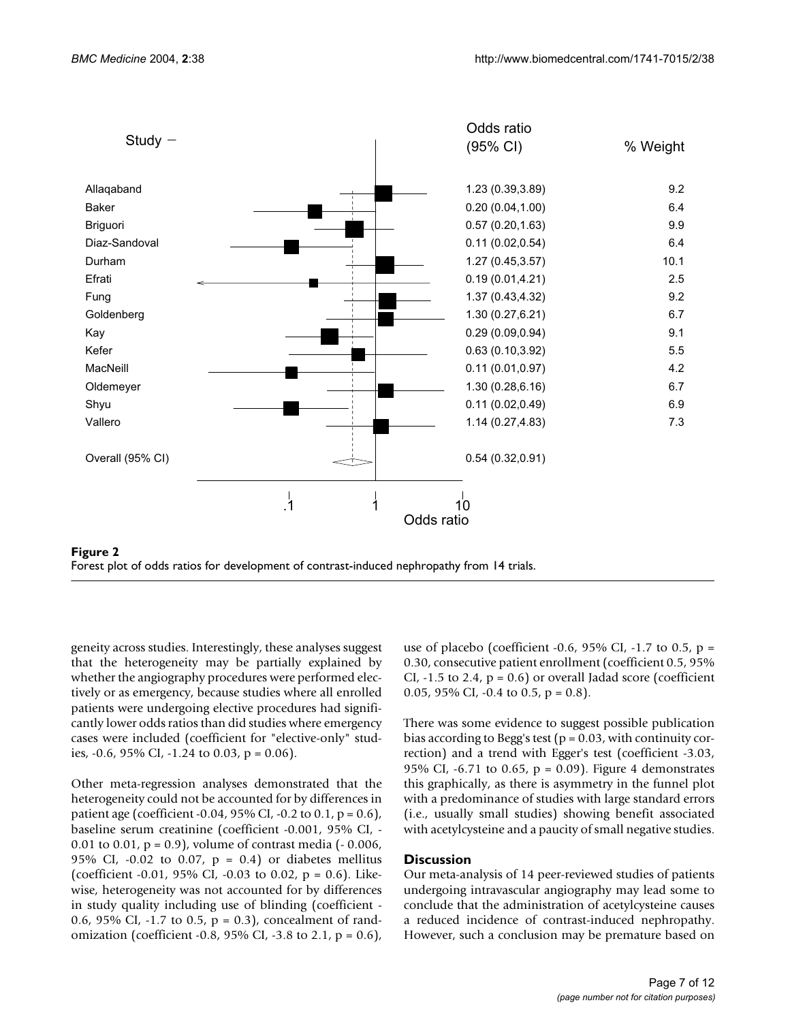<span id="page-6-0"></span>



geneity across studies. Interestingly, these analyses suggest that the heterogeneity may be partially explained by whether the angiography procedures were performed electively or as emergency, because studies where all enrolled patients were undergoing elective procedures had significantly lower odds ratios than did studies where emergency cases were included (coefficient for "elective-only" studies,  $-0.6$ ,  $95\%$  CI,  $-1.24$  to 0.03, p = 0.06).

Other meta-regression analyses demonstrated that the heterogeneity could not be accounted for by differences in patient age (coefficient -0.04, 95% CI, -0.2 to 0.1,  $p = 0.6$ ), baseline serum creatinine (coefficient -0.001, 95% CI, - 0.01 to 0.01, p = 0.9), volume of contrast media (- 0.006, 95% CI, -0.02 to 0.07,  $p = 0.4$ ) or diabetes mellitus (coefficient -0.01, 95% CI, -0.03 to 0.02,  $p = 0.6$ ). Likewise, heterogeneity was not accounted for by differences in study quality including use of blinding (coefficient - 0.6, 95% CI, -1.7 to 0.5,  $p = 0.3$ ), concealment of randomization (coefficient -0.8, 95% CI, -3.8 to 2.1,  $p = 0.6$ ), use of placebo (coefficient -0.6, 95% CI, -1.7 to 0.5,  $p =$ 0.30, consecutive patient enrollment (coefficient 0.5, 95%  $CI, -1.5$  to 2.4,  $p = 0.6$ ) or overall Jadad score (coefficient 0.05, 95% CI, -0.4 to 0.5,  $p = 0.8$ ).

There was some evidence to suggest possible publication bias according to Begg's test ( $p = 0.03$ , with continuity correction) and a trend with Egger's test (coefficient -3.03, 95% CI, -6.71 to 0.65,  $p = 0.09$ ). Figure [4](#page-8-0) demonstrates this graphically, as there is asymmetry in the funnel plot with a predominance of studies with large standard errors (i.e., usually small studies) showing benefit associated with acetylcysteine and a paucity of small negative studies.

#### **Discussion**

Our meta-analysis of 14 peer-reviewed studies of patients undergoing intravascular angiography may lead some to conclude that the administration of acetylcysteine causes a reduced incidence of contrast-induced nephropathy. However, such a conclusion may be premature based on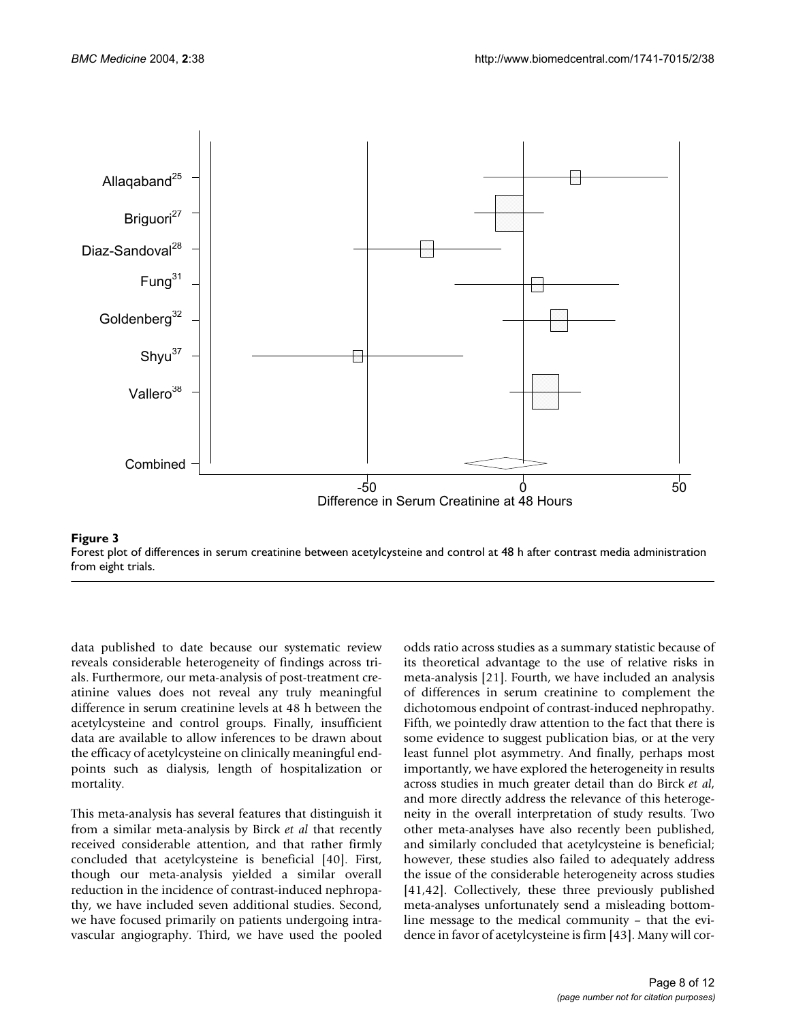



data published to date because our systematic review reveals considerable heterogeneity of findings across trials. Furthermore, our meta-analysis of post-treatment creatinine values does not reveal any truly meaningful difference in serum creatinine levels at 48 h between the acetylcysteine and control groups. Finally, insufficient data are available to allow inferences to be drawn about the efficacy of acetylcysteine on clinically meaningful endpoints such as dialysis, length of hospitalization or mortality.

This meta-analysis has several features that distinguish it from a similar meta-analysis by Birck *et al* that recently received considerable attention, and that rather firmly concluded that acetylcysteine is beneficial [40]. First, though our meta-analysis yielded a similar overall reduction in the incidence of contrast-induced nephropathy, we have included seven additional studies. Second, we have focused primarily on patients undergoing intravascular angiography. Third, we have used the pooled

odds ratio across studies as a summary statistic because of its theoretical advantage to the use of relative risks in meta-analysis [21]. Fourth, we have included an analysis of differences in serum creatinine to complement the dichotomous endpoint of contrast-induced nephropathy. Fifth, we pointedly draw attention to the fact that there is some evidence to suggest publication bias, or at the very least funnel plot asymmetry. And finally, perhaps most importantly, we have explored the heterogeneity in results across studies in much greater detail than do Birck *et al*, and more directly address the relevance of this heterogeneity in the overall interpretation of study results. Two other meta-analyses have also recently been published, and similarly concluded that acetylcysteine is beneficial; however, these studies also failed to adequately address the issue of the considerable heterogeneity across studies [41,42]. Collectively, these three previously published meta-analyses unfortunately send a misleading bottomline message to the medical community – that the evidence in favor of acetylcysteine is firm [43]. Many will cor-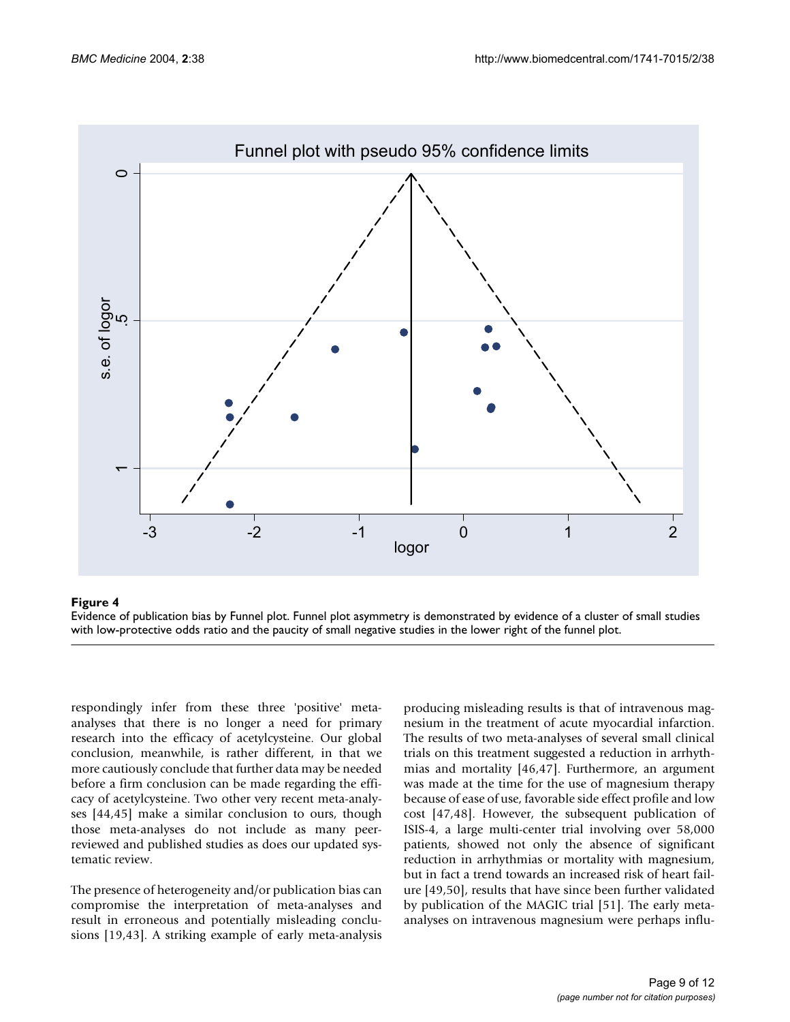<span id="page-8-0"></span>

## **Figure 4**

Evidence of publication bias by Funnel plot. Funnel plot asymmetry is demonstrated by evidence of a cluster of small studies with low-protective odds ratio and the paucity of small negative studies in the lower right of the funnel plot.

respondingly infer from these three 'positive' metaanalyses that there is no longer a need for primary research into the efficacy of acetylcysteine. Our global conclusion, meanwhile, is rather different, in that we more cautiously conclude that further data may be needed before a firm conclusion can be made regarding the efficacy of acetylcysteine. Two other very recent meta-analyses [44,45] make a similar conclusion to ours, though those meta-analyses do not include as many peerreviewed and published studies as does our updated systematic review.

The presence of heterogeneity and/or publication bias can compromise the interpretation of meta-analyses and result in erroneous and potentially misleading conclusions [19,43]. A striking example of early meta-analysis producing misleading results is that of intravenous magnesium in the treatment of acute myocardial infarction. The results of two meta-analyses of several small clinical trials on this treatment suggested a reduction in arrhythmias and mortality [46,47]. Furthermore, an argument was made at the time for the use of magnesium therapy because of ease of use, favorable side effect profile and low cost [47,48]. However, the subsequent publication of ISIS-4, a large multi-center trial involving over 58,000 patients, showed not only the absence of significant reduction in arrhythmias or mortality with magnesium, but in fact a trend towards an increased risk of heart failure [49,50], results that have since been further validated by publication of the MAGIC trial [51]. The early metaanalyses on intravenous magnesium were perhaps influ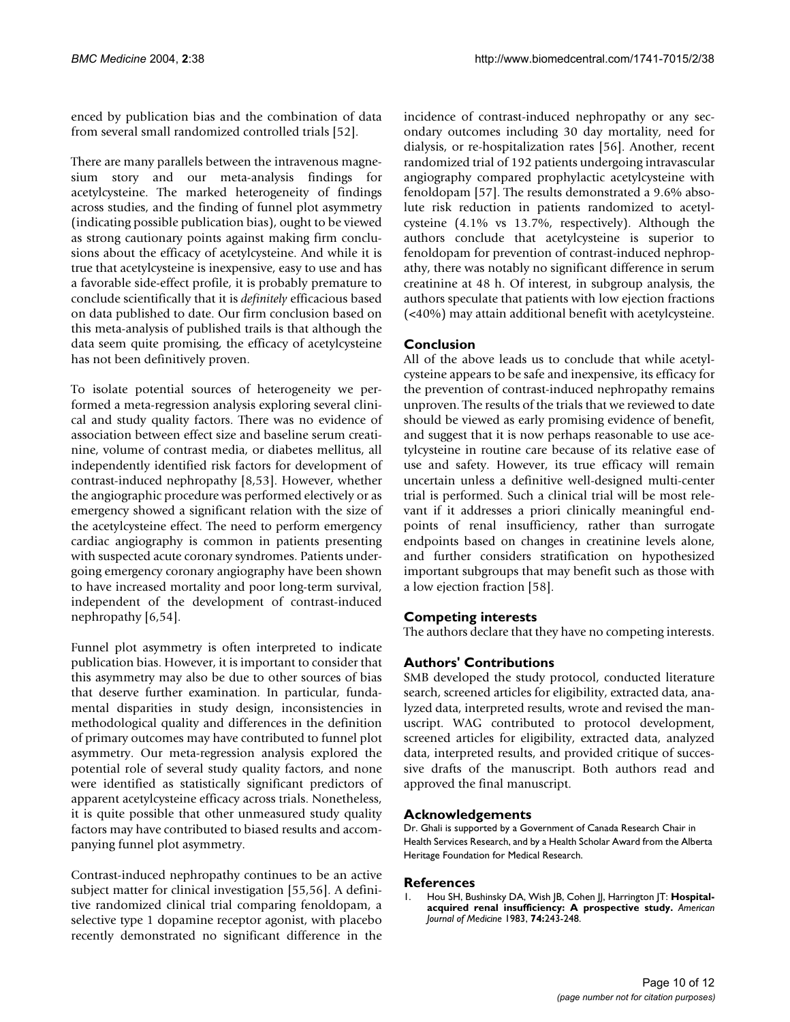enced by publication bias and the combination of data from several small randomized controlled trials [52].

There are many parallels between the intravenous magnesium story and our meta-analysis findings for acetylcysteine. The marked heterogeneity of findings across studies, and the finding of funnel plot asymmetry (indicating possible publication bias), ought to be viewed as strong cautionary points against making firm conclusions about the efficacy of acetylcysteine. And while it is true that acetylcysteine is inexpensive, easy to use and has a favorable side-effect profile, it is probably premature to conclude scientifically that it is *definitely* efficacious based on data published to date. Our firm conclusion based on this meta-analysis of published trails is that although the data seem quite promising, the efficacy of acetylcysteine has not been definitively proven.

To isolate potential sources of heterogeneity we performed a meta-regression analysis exploring several clinical and study quality factors. There was no evidence of association between effect size and baseline serum creatinine, volume of contrast media, or diabetes mellitus, all independently identified risk factors for development of contrast-induced nephropathy [8,53]. However, whether the angiographic procedure was performed electively or as emergency showed a significant relation with the size of the acetylcysteine effect. The need to perform emergency cardiac angiography is common in patients presenting with suspected acute coronary syndromes. Patients undergoing emergency coronary angiography have been shown to have increased mortality and poor long-term survival, independent of the development of contrast-induced nephropathy [6,54].

Funnel plot asymmetry is often interpreted to indicate publication bias. However, it is important to consider that this asymmetry may also be due to other sources of bias that deserve further examination. In particular, fundamental disparities in study design, inconsistencies in methodological quality and differences in the definition of primary outcomes may have contributed to funnel plot asymmetry. Our meta-regression analysis explored the potential role of several study quality factors, and none were identified as statistically significant predictors of apparent acetylcysteine efficacy across trials. Nonetheless, it is quite possible that other unmeasured study quality factors may have contributed to biased results and accompanying funnel plot asymmetry.

Contrast-induced nephropathy continues to be an active subject matter for clinical investigation [55,56]. A definitive randomized clinical trial comparing fenoldopam, a selective type 1 dopamine receptor agonist, with placebo recently demonstrated no significant difference in the incidence of contrast-induced nephropathy or any secondary outcomes including 30 day mortality, need for dialysis, or re-hospitalization rates [56]. Another, recent randomized trial of 192 patients undergoing intravascular angiography compared prophylactic acetylcysteine with fenoldopam [57]. The results demonstrated a 9.6% absolute risk reduction in patients randomized to acetylcysteine (4.1% vs 13.7%, respectively). Although the authors conclude that acetylcysteine is superior to fenoldopam for prevention of contrast-induced nephropathy, there was notably no significant difference in serum creatinine at 48 h. Of interest, in subgroup analysis, the authors speculate that patients with low ejection fractions (<40%) may attain additional benefit with acetylcysteine.

# **Conclusion**

All of the above leads us to conclude that while acetylcysteine appears to be safe and inexpensive, its efficacy for the prevention of contrast-induced nephropathy remains unproven. The results of the trials that we reviewed to date should be viewed as early promising evidence of benefit, and suggest that it is now perhaps reasonable to use acetylcysteine in routine care because of its relative ease of use and safety. However, its true efficacy will remain uncertain unless a definitive well-designed multi-center trial is performed. Such a clinical trial will be most relevant if it addresses a priori clinically meaningful endpoints of renal insufficiency, rather than surrogate endpoints based on changes in creatinine levels alone, and further considers stratification on hypothesized important subgroups that may benefit such as those with a low ejection fraction [58].

## **Competing interests**

The authors declare that they have no competing interests.

## **Authors' Contributions**

SMB developed the study protocol, conducted literature search, screened articles for eligibility, extracted data, analyzed data, interpreted results, wrote and revised the manuscript. WAG contributed to protocol development, screened articles for eligibility, extracted data, analyzed data, interpreted results, and provided critique of successive drafts of the manuscript. Both authors read and approved the final manuscript.

#### **Acknowledgements**

Dr. Ghali is supported by a Government of Canada Research Chair in Health Services Research, and by a Health Scholar Award from the Alberta Heritage Foundation for Medical Research.

#### **References**

Hou SH, Bushinsky DA, Wish JB, Cohen JJ, Harrington JT: [Hospital](http://www.ncbi.nlm.nih.gov/entrez/query.fcgi?cmd=Retrieve&db=PubMed&dopt=Abstract&list_uids=6824004)**[acquired renal insufficiency: A prospective study.](http://www.ncbi.nlm.nih.gov/entrez/query.fcgi?cmd=Retrieve&db=PubMed&dopt=Abstract&list_uids=6824004)** *American Journal of Medicine* 1983, **74:**243-248.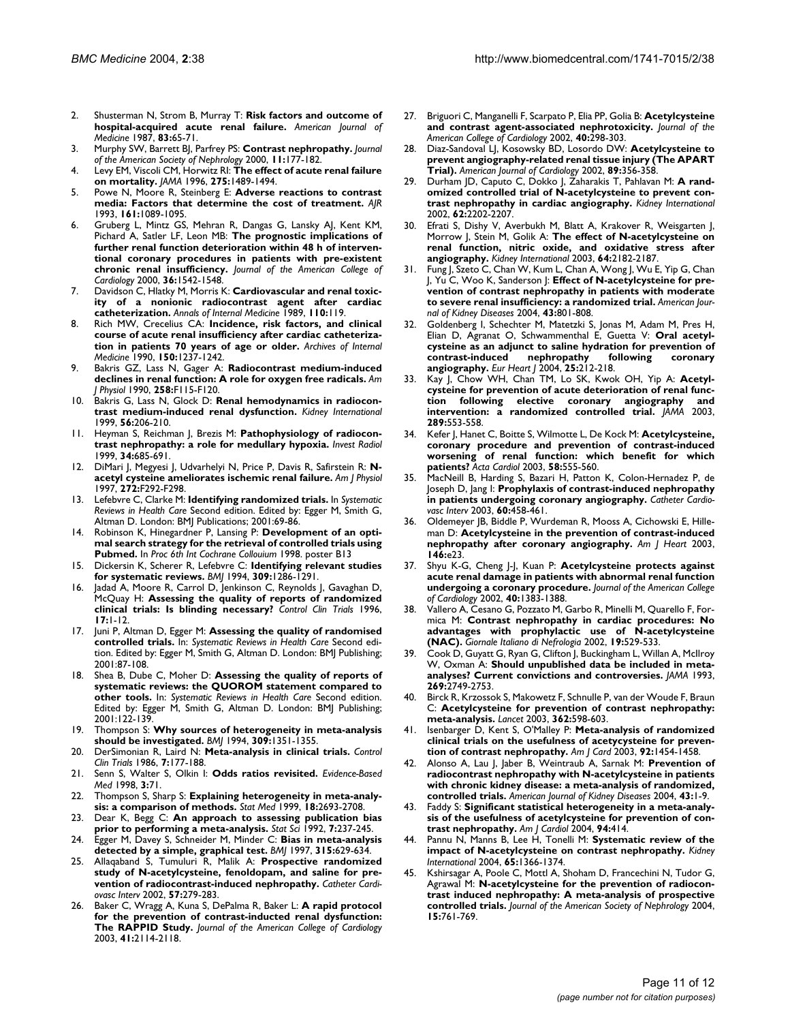- 2. Shusterman N, Strom B, Murray T: **[Risk factors and outcome of](http://www.ncbi.nlm.nih.gov/entrez/query.fcgi?cmd=Retrieve&db=PubMed&dopt=Abstract&list_uids=3605183) [hospital-acquired acute renal failure.](http://www.ncbi.nlm.nih.gov/entrez/query.fcgi?cmd=Retrieve&db=PubMed&dopt=Abstract&list_uids=3605183)** *American Journal of Medicine* 1987, **83:**65-71.
- 3. Murphy SW, Barrett BJ, Parfrey PS: **[Contrast nephropathy.](http://www.ncbi.nlm.nih.gov/entrez/query.fcgi?cmd=Retrieve&db=PubMed&dopt=Abstract&list_uids=10616853)** *Journal of the American Society of Nephrology* 2000, **11:**177-182.
- 4. Levy EM, Viscoli CM, Horwitz RI: **[The effect of acute renal failure](http://www.ncbi.nlm.nih.gov/entrez/query.fcgi?cmd=Retrieve&db=PubMed&dopt=Abstract&list_uids=8622223) [on mortality.](http://www.ncbi.nlm.nih.gov/entrez/query.fcgi?cmd=Retrieve&db=PubMed&dopt=Abstract&list_uids=8622223)** *JAMA* 1996, **275:**1489-1494.
- 5. Powe N, Moore R, Steinberg E: **[Adverse reactions to contrast](http://www.ncbi.nlm.nih.gov/entrez/query.fcgi?cmd=Retrieve&db=PubMed&dopt=Abstract&list_uids=8273616) [media: Factors that determine the cost of treatment.](http://www.ncbi.nlm.nih.gov/entrez/query.fcgi?cmd=Retrieve&db=PubMed&dopt=Abstract&list_uids=8273616)** *AJR* 1993, **161:**1089-1095.
- 6. Gruberg L, Mintz GS, Mehran R, Dangas G, Lansky AJ, Kent KM, Pichard A, Satler LF, Leon MB: **[The prognostic implications of](http://www.ncbi.nlm.nih.gov/entrez/query.fcgi?cmd=Retrieve&db=PubMed&dopt=Abstract&list_uids=11079656) [further renal function deterioration within 48 h of interven](http://www.ncbi.nlm.nih.gov/entrez/query.fcgi?cmd=Retrieve&db=PubMed&dopt=Abstract&list_uids=11079656)tional coronary procedures in patients with pre-existent [chronic renal insufficiency.](http://www.ncbi.nlm.nih.gov/entrez/query.fcgi?cmd=Retrieve&db=PubMed&dopt=Abstract&list_uids=11079656)** *Journal of the American College of Cardiology* 2000, **36:**1542-1548.
- Davidson C, Hlatky M, Morris K: [Cardiovascular and renal toxic](http://www.ncbi.nlm.nih.gov/entrez/query.fcgi?cmd=Retrieve&db=PubMed&dopt=Abstract&list_uids=2909204)**[ity of a nonionic radiocontrast agent after cardiac](http://www.ncbi.nlm.nih.gov/entrez/query.fcgi?cmd=Retrieve&db=PubMed&dopt=Abstract&list_uids=2909204) [catheterization.](http://www.ncbi.nlm.nih.gov/entrez/query.fcgi?cmd=Retrieve&db=PubMed&dopt=Abstract&list_uids=2909204)** *Annals of Internal Medicine* 1989, **110:**119.
- 8. Rich MW, Crecelius CA: **[Incidence, risk factors, and clinical](http://www.ncbi.nlm.nih.gov/entrez/query.fcgi?cmd=Retrieve&db=PubMed&dopt=Abstract&list_uids=2353856) [course of acute renal insufficiency after cardiac catheteriza](http://www.ncbi.nlm.nih.gov/entrez/query.fcgi?cmd=Retrieve&db=PubMed&dopt=Abstract&list_uids=2353856)[tion in patients 70 years of age or older.](http://www.ncbi.nlm.nih.gov/entrez/query.fcgi?cmd=Retrieve&db=PubMed&dopt=Abstract&list_uids=2353856)** *Archives of Internal Medicine* 1990, **150:**1237-1242.
- 9. Bakris GZ, Lass N, Gager A: **[Radiocontrast medium-induced](http://www.ncbi.nlm.nih.gov/entrez/query.fcgi?cmd=Retrieve&db=PubMed&dopt=Abstract&list_uids=2301588) [declines in renal function: A role for oxygen free radicals.](http://www.ncbi.nlm.nih.gov/entrez/query.fcgi?cmd=Retrieve&db=PubMed&dopt=Abstract&list_uids=2301588)** *Am J Physiol* 1990, **258:**F115-F120.
- 10. Bakris G, Lass N, Glock D: **[Renal hemodynamics in radiocon](http://www.ncbi.nlm.nih.gov/entrez/query.fcgi?cmd=Retrieve&db=PubMed&dopt=Abstract&list_uids=10411694)[trast medium-induced renal dysfunction.](http://www.ncbi.nlm.nih.gov/entrez/query.fcgi?cmd=Retrieve&db=PubMed&dopt=Abstract&list_uids=10411694)** *Kidney International* 1999, **56:**206-210.
- 11. Heyman S, Reichman J, Brezis M: **[Pathophysiology of radiocon](http://www.ncbi.nlm.nih.gov/entrez/query.fcgi?cmd=Retrieve&db=PubMed&dopt=Abstract&list_uids=10548380)[trast nephropathy: a role for medullary hypoxia.](http://www.ncbi.nlm.nih.gov/entrez/query.fcgi?cmd=Retrieve&db=PubMed&dopt=Abstract&list_uids=10548380)** *Invest Radiol* 1999, **34:**685-691.
- 12. DiMari J, Megyesi J, Udvarhelyi N, Price P, Davis R, Safirstein R: **[N](http://www.ncbi.nlm.nih.gov/entrez/query.fcgi?cmd=Retrieve&db=PubMed&dopt=Abstract&list_uids=9087670)[acetyl cysteine ameliorates ischemic renal failure.](http://www.ncbi.nlm.nih.gov/entrez/query.fcgi?cmd=Retrieve&db=PubMed&dopt=Abstract&list_uids=9087670)** *Am J Physiol* 1997, **272:**F292-F298.
- 13. Lefebvre C, Clarke M: **Identifying randomized trials.** In *Systematic Reviews in Health Care* Second edition. Edited by: Egger M, Smith G, Altman D. London: BMJ Publications; 2001:69-86.
- 14. Robinson K, Hinegardner P, Lansing P: **Development of an optimal search strategy for the retrieval of controlled trials using Pubmed.** In *Proc 6th Int Cochrane Collouium* 1998. poster B13
- 15. Dickersin K, Scherer R, Lefebvre C: **[Identifying relevant studies](http://www.ncbi.nlm.nih.gov/entrez/query.fcgi?cmd=Retrieve&db=PubMed&dopt=Abstract&list_uids=7718048) [for systematic reviews.](http://www.ncbi.nlm.nih.gov/entrez/query.fcgi?cmd=Retrieve&db=PubMed&dopt=Abstract&list_uids=7718048)** *BMJ* 1994, **309:**1286-1291.
- 16. Jadad A, Moore R, Carrol D, Jenkinson C, Reynolds J, Gavaghan D, McQuay H: **[Assessing the quality of reports of randomized](http://www.ncbi.nlm.nih.gov/entrez/query.fcgi?cmd=Retrieve&db=PubMed&dopt=Abstract&list_uids=8721797) [clinical trials: Is blinding necessary?](http://www.ncbi.nlm.nih.gov/entrez/query.fcgi?cmd=Retrieve&db=PubMed&dopt=Abstract&list_uids=8721797)** *Control Clin Trials* 1996, **17:**1-12.
- 17. Juni P, Altman D, Egger M: **Assessing the quality of randomised controlled trials.** In: *Systematic Reviews in Health Care* Second edition. Edited by: Egger M, Smith G, Altman D. London: BMJ Publishing; 2001:87-108.
- 18. Shea B, Dube C, Moher D: **Assessing the quality of reports of systematic reviews: the QUOROM statement compared to other tools.** In: *Systematic Reviews in Health Care* Second edition. Edited by: Egger M, Smith G, Altman D. London: BMJ Publishing; 2001:122-139.
- 19. Thompson S: **[Why sources of heterogeneity in meta-analysis](http://www.ncbi.nlm.nih.gov/entrez/query.fcgi?cmd=Retrieve&db=PubMed&dopt=Abstract&list_uids=7866085) [should be investigated.](http://www.ncbi.nlm.nih.gov/entrez/query.fcgi?cmd=Retrieve&db=PubMed&dopt=Abstract&list_uids=7866085)** *BMJ* 1994, **309:**1351-1355.
- 20. DerSimonian R, Laird N: **[Meta-analysis in clinical trials.](http://www.ncbi.nlm.nih.gov/entrez/query.fcgi?cmd=Retrieve&db=PubMed&dopt=Abstract&list_uids=3802833)** *Control Clin Trials* 1986, **7:**177-188.
- 21. Senn S, Walter S, Olkin I: **Odds ratios revisited.** *Evidence-Based Med* 1998, **3:**71.
- 22. Thompson S, Sharp S: **[Explaining heterogeneity in meta-analy](http://www.ncbi.nlm.nih.gov/entrez/query.fcgi?cmd=Retrieve&db=PubMed&dopt=Abstract&list_uids=10521860)[sis: a comparison of methods.](http://www.ncbi.nlm.nih.gov/entrez/query.fcgi?cmd=Retrieve&db=PubMed&dopt=Abstract&list_uids=10521860)** *Stat Med* 1999, **18:**2693-2708.
- 23. Dear K, Begg C: **An approach to assessing publication bias prior to performing a meta-analysis.** *Stat Sci* 1992, **7:**237-245.
- 24. Egger M, Davey S, Schneider M, Minder C: **[Bias in meta-analysis](http://www.ncbi.nlm.nih.gov/entrez/query.fcgi?cmd=Retrieve&db=PubMed&dopt=Abstract&list_uids=9310563) [detected by a simple, graphical test.](http://www.ncbi.nlm.nih.gov/entrez/query.fcgi?cmd=Retrieve&db=PubMed&dopt=Abstract&list_uids=9310563)** *BMJ* 1997, **315:**629-634.
- 25. Allaqaband S, Tumuluri R, Malik A: **[Prospective randomized](http://www.ncbi.nlm.nih.gov/entrez/query.fcgi?cmd=Retrieve&db=PubMed&dopt=Abstract&list_uids=12410497) [study of N-acetylcysteine, fenoldopam, and saline for pre](http://www.ncbi.nlm.nih.gov/entrez/query.fcgi?cmd=Retrieve&db=PubMed&dopt=Abstract&list_uids=12410497)[vention of radiocontrast-induced nephropathy.](http://www.ncbi.nlm.nih.gov/entrez/query.fcgi?cmd=Retrieve&db=PubMed&dopt=Abstract&list_uids=12410497)** *Catheter Cardiovasc Interv* 2002, **57:**279-283.
- 26. Baker C, Wragg A, Kuna S, DePalma R, Baker L: **[A rapid protocol](http://www.ncbi.nlm.nih.gov/entrez/query.fcgi?cmd=Retrieve&db=PubMed&dopt=Abstract&list_uids=12821233) [for the prevention of contrast-inducted renal dysfunction:](http://www.ncbi.nlm.nih.gov/entrez/query.fcgi?cmd=Retrieve&db=PubMed&dopt=Abstract&list_uids=12821233) [The RAPPID Study.](http://www.ncbi.nlm.nih.gov/entrez/query.fcgi?cmd=Retrieve&db=PubMed&dopt=Abstract&list_uids=12821233)** *Journal of the American College of Cardiology* 2003, **41:**2114-2118.
- 27. Briguori C, Manganelli F, Scarpato P, Elia PP, Golia B: **[Acetylcysteine](http://www.ncbi.nlm.nih.gov/entrez/query.fcgi?cmd=Retrieve&db=PubMed&dopt=Abstract&list_uids=12106935) [and contrast agent-associated nephrotoxicity.](http://www.ncbi.nlm.nih.gov/entrez/query.fcgi?cmd=Retrieve&db=PubMed&dopt=Abstract&list_uids=12106935)** *Journal of the American College of Cardiology* 2002, **40:**298-303.
- 28. Diaz-Sandoval LJ, Kosowsky BD, Losordo DW: **[Acetylcysteine to](http://www.ncbi.nlm.nih.gov/entrez/query.fcgi?cmd=Retrieve&db=PubMed&dopt=Abstract&list_uids=11809444) [prevent angiography-related renal tissue injury \(The APART](http://www.ncbi.nlm.nih.gov/entrez/query.fcgi?cmd=Retrieve&db=PubMed&dopt=Abstract&list_uids=11809444) [Trial\).](http://www.ncbi.nlm.nih.gov/entrez/query.fcgi?cmd=Retrieve&db=PubMed&dopt=Abstract&list_uids=11809444)** *American Journal of Cardiology* 2002, **89:**356-358.
- 29. Durham JD, Caputo C, Dokko J, Zaharakis T, Pahlavan M: **[A rand](http://www.ncbi.nlm.nih.gov/entrez/query.fcgi?cmd=Retrieve&db=PubMed&dopt=Abstract&list_uids=12427146)[omized controlled trial of N-acetylcysteine to prevent con](http://www.ncbi.nlm.nih.gov/entrez/query.fcgi?cmd=Retrieve&db=PubMed&dopt=Abstract&list_uids=12427146)[trast nephropathy in cardiac angiography.](http://www.ncbi.nlm.nih.gov/entrez/query.fcgi?cmd=Retrieve&db=PubMed&dopt=Abstract&list_uids=12427146)** *Kidney International* 2002, **62:**2202-2207.
- 30. Efrati S, Dishy V, Averbukh M, Blatt A, Krakover R, Weisgarten J, Morrow J, Stein M, Golik A: **[The effect of N-acetylcysteine on](http://www.ncbi.nlm.nih.gov/entrez/query.fcgi?cmd=Retrieve&db=PubMed&dopt=Abstract&list_uids=14633141) [renal function, nitric oxide, and oxidative stress after](http://www.ncbi.nlm.nih.gov/entrez/query.fcgi?cmd=Retrieve&db=PubMed&dopt=Abstract&list_uids=14633141) [angiography.](http://www.ncbi.nlm.nih.gov/entrez/query.fcgi?cmd=Retrieve&db=PubMed&dopt=Abstract&list_uids=14633141)** *Kidney International* 2003, **64:**2182-2187.
- 31. Fung J, Szeto C, Chan W, Kum L, Chan A, Wong J, Wu E, Yip G, Chan J, Yu C, Woo K, Sanderson J: **[Effect of N-acetylcysteine for pre](http://www.ncbi.nlm.nih.gov/entrez/query.fcgi?cmd=Retrieve&db=PubMed&dopt=Abstract&list_uids=15112170)[vention of contrast nephropathy in patients with moderate](http://www.ncbi.nlm.nih.gov/entrez/query.fcgi?cmd=Retrieve&db=PubMed&dopt=Abstract&list_uids=15112170) [to severe renal insufficiency: a randomized trial.](http://www.ncbi.nlm.nih.gov/entrez/query.fcgi?cmd=Retrieve&db=PubMed&dopt=Abstract&list_uids=15112170)** *American Journal of Kidney Diseases* 2004, **43:**801-808.
- 32. Goldenberg I, Schechter M, Matetzki S, Jonas M, Adam M, Pres H, Elian D, Agranat O, Schwammenthal E, Guetta V: **[Oral acetyl](http://www.ncbi.nlm.nih.gov/entrez/query.fcgi?cmd=Retrieve&db=PubMed&dopt=Abstract&list_uids=14972421)[cysteine as an adjunct to saline hydration for prevention of](http://www.ncbi.nlm.nih.gov/entrez/query.fcgi?cmd=Retrieve&db=PubMed&dopt=Abstract&list_uids=14972421) contrast-induced nephropathy following coronary [angiography.](http://www.ncbi.nlm.nih.gov/entrez/query.fcgi?cmd=Retrieve&db=PubMed&dopt=Abstract&list_uids=14972421)** *Eur Heart J* 2004, **25:**212-218.
- 33. Kay J, Chow WH, Chan TM, Lo SK, Kwok OH, Yip A: **[Acetyl](http://www.ncbi.nlm.nih.gov/entrez/query.fcgi?cmd=Retrieve&db=PubMed&dopt=Abstract&list_uids=12578487)[cysteine for prevention of acute deterioration of renal func](http://www.ncbi.nlm.nih.gov/entrez/query.fcgi?cmd=Retrieve&db=PubMed&dopt=Abstract&list_uids=12578487)tion following elective coronary angiography and [intervention: a randomized controlled trial.](http://www.ncbi.nlm.nih.gov/entrez/query.fcgi?cmd=Retrieve&db=PubMed&dopt=Abstract&list_uids=12578487)** *JAMA* 2003, **289:**553-558.
- 34. Kefer J, Hanet C, Boitte S, Wilmotte L, De Kock M: **[Acetylcysteine,](http://www.ncbi.nlm.nih.gov/entrez/query.fcgi?cmd=Retrieve&db=PubMed&dopt=Abstract&list_uids=14713182) [coronary procedure and prevention of contrast-induced](http://www.ncbi.nlm.nih.gov/entrez/query.fcgi?cmd=Retrieve&db=PubMed&dopt=Abstract&list_uids=14713182) worsening of renal function: which benefit for which [patients?](http://www.ncbi.nlm.nih.gov/entrez/query.fcgi?cmd=Retrieve&db=PubMed&dopt=Abstract&list_uids=14713182)** *Acta Cardiol* 2003, **58:**555-560.
- 35. MacNeill B, Harding S, Bazari H, Patton K, Colon-Hernadez P, de Joseph D, Jang I: **[Prophylaxis of contrast-induced nephropathy](http://www.ncbi.nlm.nih.gov/entrez/query.fcgi?cmd=Retrieve&db=PubMed&dopt=Abstract&list_uids=14624421) [in patients undergoing coronary angiography.](http://www.ncbi.nlm.nih.gov/entrez/query.fcgi?cmd=Retrieve&db=PubMed&dopt=Abstract&list_uids=14624421)** *Catheter Cardiovasc Interv* 2003, **60:**458-461.
- 36. Oldemeyer JB, Biddle P, Wurdeman R, Mooss A, Cichowski E, Hilleman D: **Acetylcysteine in the prevention of contrast-induced nephropathy after coronary angiography.** *Am J Heart* 2003, **146:**e23.
- 37. Shyu K-G, Cheng J-J, Kuan P: **[Acetylcysteine protects against](http://www.ncbi.nlm.nih.gov/entrez/query.fcgi?cmd=Retrieve&db=PubMed&dopt=Abstract&list_uids=12392825) [acute renal damage in patients with abnormal renal function](http://www.ncbi.nlm.nih.gov/entrez/query.fcgi?cmd=Retrieve&db=PubMed&dopt=Abstract&list_uids=12392825) [undergoing a coronary procedure.](http://www.ncbi.nlm.nih.gov/entrez/query.fcgi?cmd=Retrieve&db=PubMed&dopt=Abstract&list_uids=12392825)** *Journal of the American College of Cardiology* 2002, **40:**1383-1388.
- Vallero A, Cesano G, Pozzato M, Garbo R, Minelli M, Quarello F, Formica M: **[Contrast nephropathy in cardiac procedures: No](http://www.ncbi.nlm.nih.gov/entrez/query.fcgi?cmd=Retrieve&db=PubMed&dopt=Abstract&list_uids=12439841) [advantages with prophylactic use of N-acetylcysteine](http://www.ncbi.nlm.nih.gov/entrez/query.fcgi?cmd=Retrieve&db=PubMed&dopt=Abstract&list_uids=12439841) [\(NAC\).](http://www.ncbi.nlm.nih.gov/entrez/query.fcgi?cmd=Retrieve&db=PubMed&dopt=Abstract&list_uids=12439841)** *Giornale Italiano di Nefrologia* 2002, **19:**529-533.
- 39. Cook D, Guyatt G, Ryan G, Clifton J, Buckingham L, Willan A, McIlroy W, Oxman A: **[Should unpublished data be included in meta](http://www.ncbi.nlm.nih.gov/entrez/query.fcgi?cmd=Retrieve&db=PubMed&dopt=Abstract&list_uids=8492400)[analyses? Current convictions and controversies.](http://www.ncbi.nlm.nih.gov/entrez/query.fcgi?cmd=Retrieve&db=PubMed&dopt=Abstract&list_uids=8492400)** *JAMA* 1993, **269:**2749-2753.
- 40. Birck R, Krzossok S, Makowetz F, Schnulle P, van der Woude F, Braun C: **[Acetylcysteine for prevention of contrast nephropathy:](http://www.ncbi.nlm.nih.gov/entrez/query.fcgi?cmd=Retrieve&db=PubMed&dopt=Abstract&list_uids=12944058) [meta-analysis.](http://www.ncbi.nlm.nih.gov/entrez/query.fcgi?cmd=Retrieve&db=PubMed&dopt=Abstract&list_uids=12944058)** *Lancet* 2003, **362:**598-603.
- 41. Isenbarger D, Kent S, O'Malley P: **[Meta-analysis of randomized](http://www.ncbi.nlm.nih.gov/entrez/query.fcgi?cmd=Retrieve&db=PubMed&dopt=Abstract&list_uids=14675586) [clinical trials on the usefulness of acetycysteine for preven](http://www.ncbi.nlm.nih.gov/entrez/query.fcgi?cmd=Retrieve&db=PubMed&dopt=Abstract&list_uids=14675586)[tion of contrast nephropathy.](http://www.ncbi.nlm.nih.gov/entrez/query.fcgi?cmd=Retrieve&db=PubMed&dopt=Abstract&list_uids=14675586)** *Am J Card* 2003, **92:**1454-1458.
- 42. Alonso A, Lau J, Jaber B, Weintraub A, Sarnak M: **[Prevention of](http://www.ncbi.nlm.nih.gov/entrez/query.fcgi?cmd=Retrieve&db=PubMed&dopt=Abstract&list_uids=14712421) [radiocontrast nephropathy with N-acetylcysteine in patients](http://www.ncbi.nlm.nih.gov/entrez/query.fcgi?cmd=Retrieve&db=PubMed&dopt=Abstract&list_uids=14712421) with chronic kidney disease: a meta-analysis of randomized, [controlled trials.](http://www.ncbi.nlm.nih.gov/entrez/query.fcgi?cmd=Retrieve&db=PubMed&dopt=Abstract&list_uids=14712421)** *American Journal of Kidney Diseases* 2004, **43:**1-9.
- 43. Faddy S: **[Significant statistical heterogeneity in a meta-analy](http://www.ncbi.nlm.nih.gov/entrez/query.fcgi?cmd=Retrieve&db=PubMed&dopt=Abstract&list_uids=15276125)[sis of the usefulness of acetylcysteine for prevention of con](http://www.ncbi.nlm.nih.gov/entrez/query.fcgi?cmd=Retrieve&db=PubMed&dopt=Abstract&list_uids=15276125)[trast nephropathy.](http://www.ncbi.nlm.nih.gov/entrez/query.fcgi?cmd=Retrieve&db=PubMed&dopt=Abstract&list_uids=15276125)** *Am J Cardiol* 2004, **94:**414.
- 44. Pannu N, Manns B, Lee H, Tonelli M: **[Systematic review of the](http://www.ncbi.nlm.nih.gov/entrez/query.fcgi?cmd=Retrieve&db=PubMed&dopt=Abstract&list_uids=15086476) [impact of N-acetylcysteine on contrast nephropathy.](http://www.ncbi.nlm.nih.gov/entrez/query.fcgi?cmd=Retrieve&db=PubMed&dopt=Abstract&list_uids=15086476)** *Kidney International* 2004, **65:**1366-1374.
- 45. Kshirsagar A, Poole C, Mottl A, Shoham D, Francechini N, Tudor G, Agrawal M: **[N-acetylcysteine for the prevention of radiocon](http://www.ncbi.nlm.nih.gov/entrez/query.fcgi?cmd=Retrieve&db=PubMed&dopt=Abstract&list_uids=14978179)[trast induced nephropathy: A meta-analysis of prospective](http://www.ncbi.nlm.nih.gov/entrez/query.fcgi?cmd=Retrieve&db=PubMed&dopt=Abstract&list_uids=14978179) [controlled trials.](http://www.ncbi.nlm.nih.gov/entrez/query.fcgi?cmd=Retrieve&db=PubMed&dopt=Abstract&list_uids=14978179)** *Journal of the American Society of Nephrology* 2004, **15:**761-769.